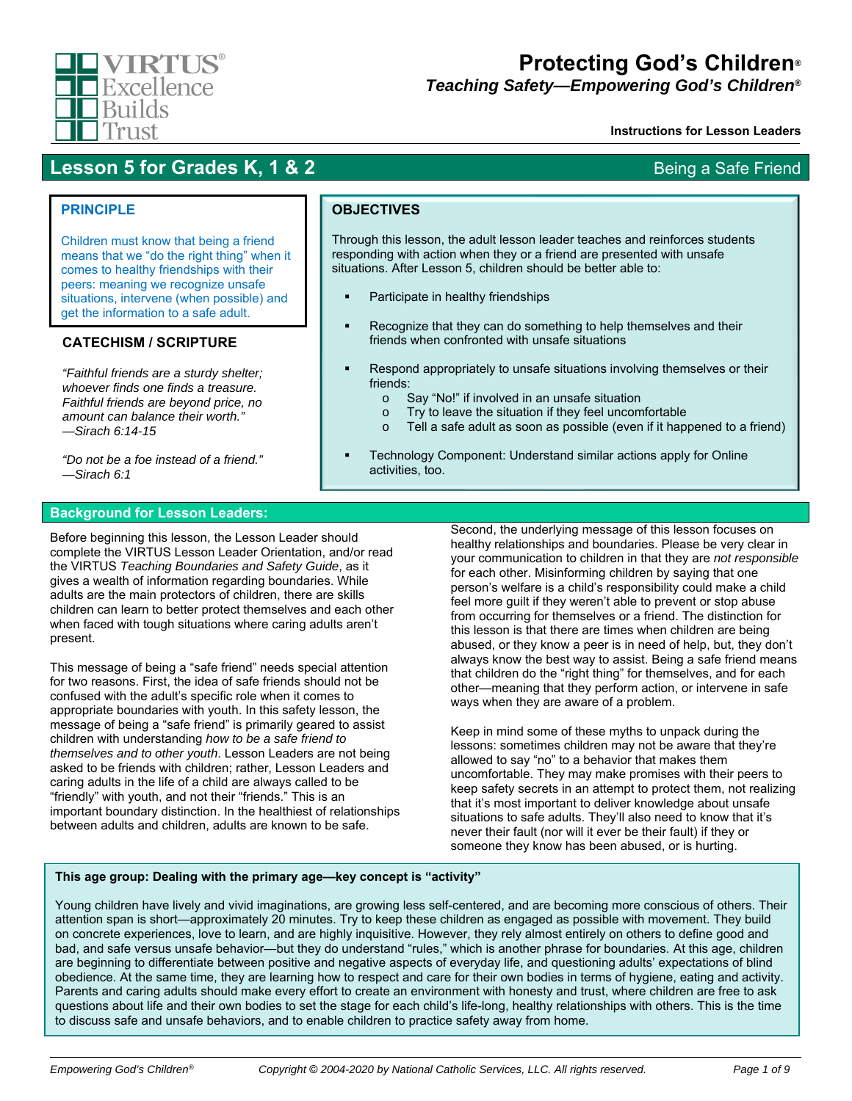

# **Protecting God's Children***®*

*Teaching Safety—Empowering God's Children®*

### **Instructions for Lesson Leaders**

## **Lesson 5 for Grades K, 1 & 2** Being a Safe Friend

## **PRINCIPLE**

Children must know that being a friend means that we "do the right thing" when it comes to healthy friendships with their peers: meaning we recognize unsafe situations, intervene (when possible) and get the information to a safe adult.

## **CATECHISM / SCRIPTURE**

*"Faithful friends are a sturdy shelter; whoever finds one finds a treasure. Faithful friends are beyond price, no amount can balance their worth." —Sirach 6:14-15* 

*"Do not be a foe instead of a friend." —Sirach 6:1* 

### **Background for Lesson Leaders:**

Before beginning this lesson, the Lesson Leader should complete the VIRTUS Lesson Leader Orientation, and/or read the VIRTUS *Teaching Boundaries and Safety Guide*, as it gives a wealth of information regarding boundaries. While adults are the main protectors of children, there are skills children can learn to better protect themselves and each other when faced with tough situations where caring adults aren't present.

This message of being a "safe friend" needs special attention for two reasons. First, the idea of safe friends should not be confused with the adult's specific role when it comes to appropriate boundaries with youth. In this safety lesson, the message of being a "safe friend" is primarily geared to assist children with understanding *how to be a safe friend to themselves and to other youth*. Lesson Leaders are not being asked to be friends with children; rather, Lesson Leaders and caring adults in the life of a child are always called to be "friendly" with youth, and not their "friends." This is an important boundary distinction. In the healthiest of relationships between adults and children, adults are known to be safe.

**OBJECTIVES**

Through this lesson, the adult lesson leader teaches and reinforces students responding with action when they or a friend are presented with unsafe situations. After Lesson 5, children should be better able to:

- Participate in healthy friendships
- **Recognize that they can do something to help themselves and their** friends when confronted with unsafe situations
- Respond appropriately to unsafe situations involving themselves or their friends:
	- o Say "No!" if involved in an unsafe situation
	- o Try to leave the situation if they feel uncomfortable
	- o Tell a safe adult as soon as possible (even if it happened to a friend)
- Technology Component: Understand similar actions apply for Online activities, too.

Second, the underlying message of this lesson focuses on healthy relationships and boundaries. Please be very clear in your communication to children in that they are *not responsible* for each other. Misinforming children by saying that one person's welfare is a child's responsibility could make a child feel more guilt if they weren't able to prevent or stop abuse from occurring for themselves or a friend. The distinction for this lesson is that there are times when children are being abused, or they know a peer is in need of help, but, they don't always know the best way to assist. Being a safe friend means that children do the "right thing" for themselves, and for each other—meaning that they perform action, or intervene in safe ways when they are aware of a problem.

Keep in mind some of these myths to unpack during the lessons: sometimes children may not be aware that they're allowed to say "no" to a behavior that makes them uncomfortable. They may make promises with their peers to keep safety secrets in an attempt to protect them, not realizing that it's most important to deliver knowledge about unsafe situations to safe adults. They'll also need to know that it's never their fault (nor will it ever be their fault) if they or someone they know has been abused, or is hurting.

### **This age group: Dealing with the primary age—key concept is "activity"**

Young children have lively and vivid imaginations, are growing less self-centered, and are becoming more conscious of others. Their attention span is short—approximately 20 minutes. Try to keep these children as engaged as possible with movement. They build on concrete experiences, love to learn, and are highly inquisitive. However, they rely almost entirely on others to define good and bad, and safe versus unsafe behavior—but they do understand "rules," which is another phrase for boundaries. At this age, children are beginning to differentiate between positive and negative aspects of everyday life, and questioning adults' expectations of blind obedience. At the same time, they are learning how to respect and care for their own bodies in terms of hygiene, eating and activity. Parents and caring adults should make every effort to create an environment with honesty and trust, where children are free to ask questions about life and their own bodies to set the stage for each child's life-long, healthy relationships with others. This is the time to discuss safe and unsafe behaviors, and to enable children to practice safety away from home.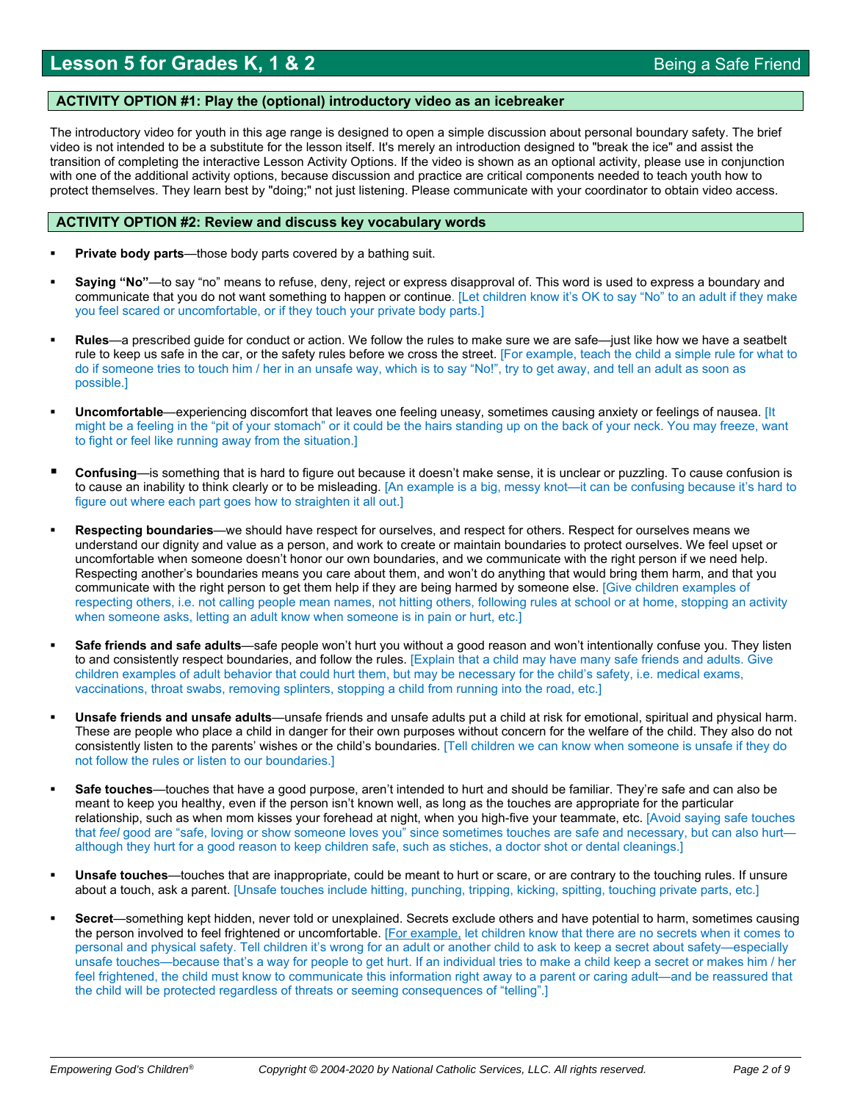### **ACTIVITY OPTION #1: Play the (optional) introductory video as an icebreaker**

The introductory video for youth in this age range is designed to open a simple discussion about personal boundary safety. The brief video is not intended to be a substitute for the lesson itself. It's merely an introduction designed to "break the ice" and assist the transition of completing the interactive Lesson Activity Options. If the video is shown as an optional activity, please use in conjunction with one of the additional activity options, because discussion and practice are critical components needed to teach youth how to protect themselves. They learn best by "doing;" not just listening. Please communicate with your coordinator to obtain video access.

## **ACTIVITY OPTION #2: Review and discuss key vocabulary words**

- **Private body parts**—those body parts covered by a bathing suit.
- **Saying "No"**—to say "no" means to refuse, deny, reject or express disapproval of. This word is used to express a boundary and communicate that you do not want something to happen or continue. [Let children know it's OK to say "No" to an adult if they make you feel scared or uncomfortable, or if they touch your private body parts.]
- **Rules**—a prescribed guide for conduct or action. We follow the rules to make sure we are safe—just like how we have a seatbelt rule to keep us safe in the car, or the safety rules before we cross the street. [For example, teach the child a simple rule for what to do if someone tries to touch him / her in an unsafe way, which is to say "No!", try to get away, and tell an adult as soon as possible.]
- **Uncomfortable**—experiencing discomfort that leaves one feeling uneasy, sometimes causing anxiety or feelings of nausea. [It might be a feeling in the "pit of your stomach" or it could be the hairs standing up on the back of your neck. You may freeze, want to fight or feel like running away from the situation.]
- **Confusing**—is something that is hard to figure out because it doesn't make sense, it is unclear or puzzling. To cause confusion is to cause an inability to think clearly or to be misleading. [An example is a big, messy knot—it can be confusing because it's hard to figure out where each part goes how to straighten it all out.]
- **Respecting boundaries**—we should have respect for ourselves, and respect for others. Respect for ourselves means we understand our dignity and value as a person, and work to create or maintain boundaries to protect ourselves. We feel upset or uncomfortable when someone doesn't honor our own boundaries, and we communicate with the right person if we need help. Respecting another's boundaries means you care about them, and won't do anything that would bring them harm, and that you communicate with the right person to get them help if they are being harmed by someone else. [Give children examples of respecting others, i.e. not calling people mean names, not hitting others, following rules at school or at home, stopping an activity when someone asks, letting an adult know when someone is in pain or hurt, etc.]
- **Safe friends and safe adults**—safe people won't hurt you without a good reason and won't intentionally confuse you. They listen to and consistently respect boundaries, and follow the rules. [Explain that a child may have many safe friends and adults. Give children examples of adult behavior that could hurt them, but may be necessary for the child's safety, i.e. medical exams, vaccinations, throat swabs, removing splinters, stopping a child from running into the road, etc.]
- **Unsafe friends and unsafe adults**—unsafe friends and unsafe adults put a child at risk for emotional, spiritual and physical harm. These are people who place a child in danger for their own purposes without concern for the welfare of the child. They also do not consistently listen to the parents' wishes or the child's boundaries. [Tell children we can know when someone is unsafe if they do not follow the rules or listen to our boundaries.]
- **Safe touches**—touches that have a good purpose, aren't intended to hurt and should be familiar. They're safe and can also be meant to keep you healthy, even if the person isn't known well, as long as the touches are appropriate for the particular relationship, such as when mom kisses your forehead at night, when you high-five your teammate, etc. [Avoid saying safe touches that *feel* good are "safe, loving or show someone loves you" since sometimes touches are safe and necessary, but can also hurt although they hurt for a good reason to keep children safe, such as stiches, a doctor shot or dental cleanings.]
- **Unsafe touches**—touches that are inappropriate, could be meant to hurt or scare, or are contrary to the touching rules. If unsure about a touch, ask a parent. [Unsafe touches include hitting, punching, tripping, kicking, spitting, touching private parts, etc.]
- **Secret**—something kept hidden, never told or unexplained. Secrets exclude others and have potential to harm, sometimes causing the person involved to feel frightened or uncomfortable. [For example, let children know that there are no secrets when it comes to personal and physical safety. Tell children it's wrong for an adult or another child to ask to keep a secret about safety—especially unsafe touches—because that's a way for people to get hurt. If an individual tries to make a child keep a secret or makes him / her feel frightened, the child must know to communicate this information right away to a parent or caring adult—and be reassured that the child will be protected regardless of threats or seeming consequences of "telling".]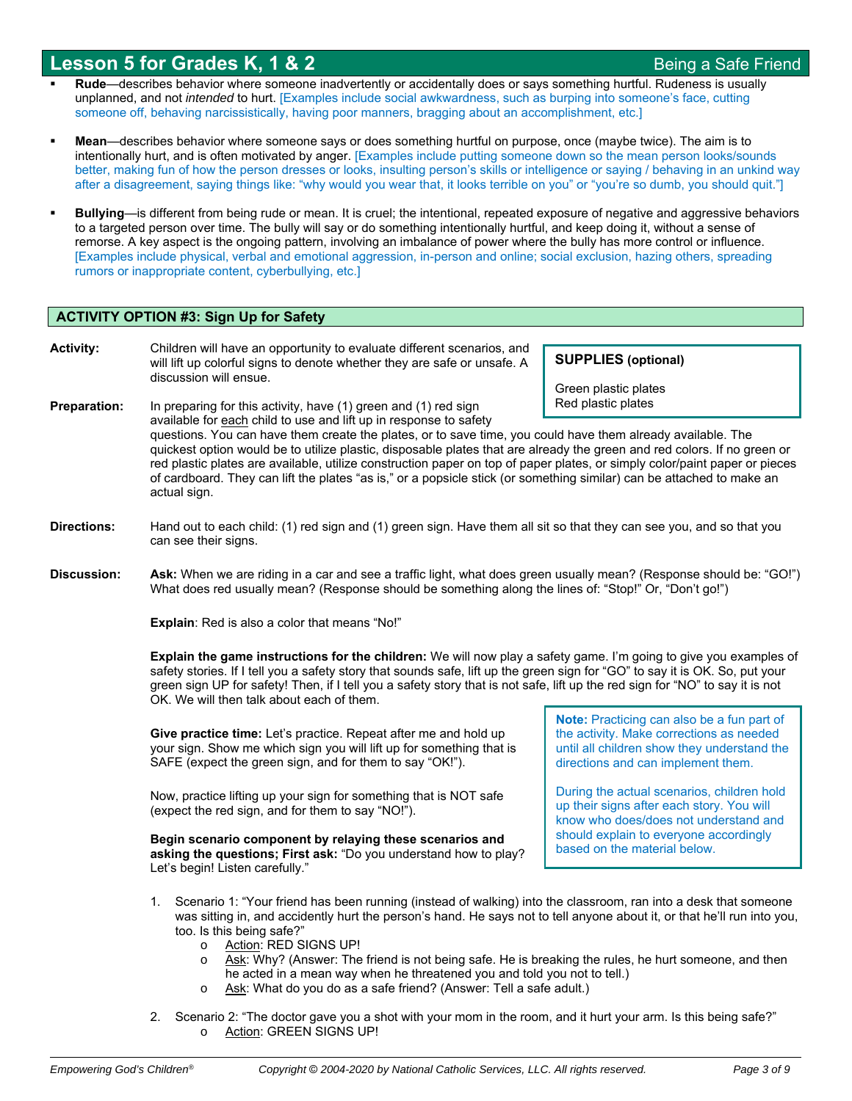- **Rude**—describes behavior where someone inadvertently or accidentally does or says something hurtful. Rudeness is usually unplanned, and not *intended* to hurt. [Examples include social awkwardness, such as burping into someone's face, cutting someone off, behaving narcissistically, having poor manners, bragging about an accomplishment, etc.]
- **Mean**—describes behavior where someone says or does something hurtful on purpose, once (maybe twice). The aim is to intentionally hurt, and is often motivated by anger. [Examples include putting someone down so the mean person looks/sounds better, making fun of how the person dresses or looks, insulting person's skills or intelligence or saying / behaving in an unkind way after a disagreement, saying things like: "why would you wear that, it looks terrible on you" or "you're so dumb, you should quit."]
- **Bullying**—is different from being rude or mean. It is cruel; the intentional, repeated exposure of negative and aggressive behaviors to a targeted person over time. The bully will say or do something intentionally hurtful, and keep doing it, without a sense of remorse. A key aspect is the ongoing pattern, involving an imbalance of power where the bully has more control or influence. [Examples include physical, verbal and emotional aggression, in-person and online; social exclusion, hazing others, spreading rumors or inappropriate content, cyberbullying, etc.]

## **ACTIVITY OPTION #3: Sign Up for Safety**

**Activity:** Children will have an opportunity to evaluate different scenarios, and will lift up colorful signs to denote whether they are safe or unsafe. A discussion will ensue.

**SUPPLIES (optional)** 

Green plastic plates Red plastic plates

- **Preparation:** In preparing for this activity, have (1) green and (1) red sign available for each child to use and lift up in response to safety questions. You can have them create the plates, or to save time, you could have them already available. The quickest option would be to utilize plastic, disposable plates that are already the green and red colors. If no green or red plastic plates are available, utilize construction paper on top of paper plates, or simply color/paint paper or pieces of cardboard. They can lift the plates "as is," or a popsicle stick (or something similar) can be attached to make an actual sign.
- **Directions:** Hand out to each child: (1) red sign and (1) green sign. Have them all sit so that they can see you, and so that you can see their signs.
- **Discussion: Ask:** When we are riding in a car and see a traffic light, what does green usually mean? (Response should be: "GO!") What does red usually mean? (Response should be something along the lines of: "Stop!" Or, "Don't go!")

**Explain**: Red is also a color that means "No!"

**Explain the game instructions for the children:** We will now play a safety game. I'm going to give you examples of safety stories. If I tell you a safety story that sounds safe, lift up the green sign for "GO" to say it is OK. So, put your green sign UP for safety! Then, if I tell you a safety story that is not safe, lift up the red sign for "NO" to say it is not OK. We will then talk about each of them.

**Give practice time:** Let's practice. Repeat after me and hold up your sign. Show me which sign you will lift up for something that is SAFE (expect the green sign, and for them to say "OK!").

Now, practice lifting up your sign for something that is NOT safe (expect the red sign, and for them to say "NO!").

**Begin scenario component by relaying these scenarios and asking the questions; First ask:** "Do you understand how to play? Let's begin! Listen carefully."

**Note:** Practicing can also be a fun part of the activity. Make corrections as needed until all children show they understand the directions and can implement them.

During the actual scenarios, children hold up their signs after each story. You will know who does/does not understand and should explain to everyone accordingly based on the material below.

- 1. Scenario 1: "Your friend has been running (instead of walking) into the classroom, ran into a desk that someone was sitting in, and accidently hurt the person's hand. He says not to tell anyone about it, or that he'll run into you, too. Is this being safe?"
	- o Action: RED SIGNS UP!
	- o Ask: Why? (Answer: The friend is not being safe. He is breaking the rules, he hurt someone, and then he acted in a mean way when he threatened you and told you not to tell.)
	- o Ask: What do you do as a safe friend? (Answer: Tell a safe adult.)
- 2. Scenario 2: "The doctor gave you a shot with your mom in the room, and it hurt your arm. Is this being safe?" o Action: GREEN SIGNS UP!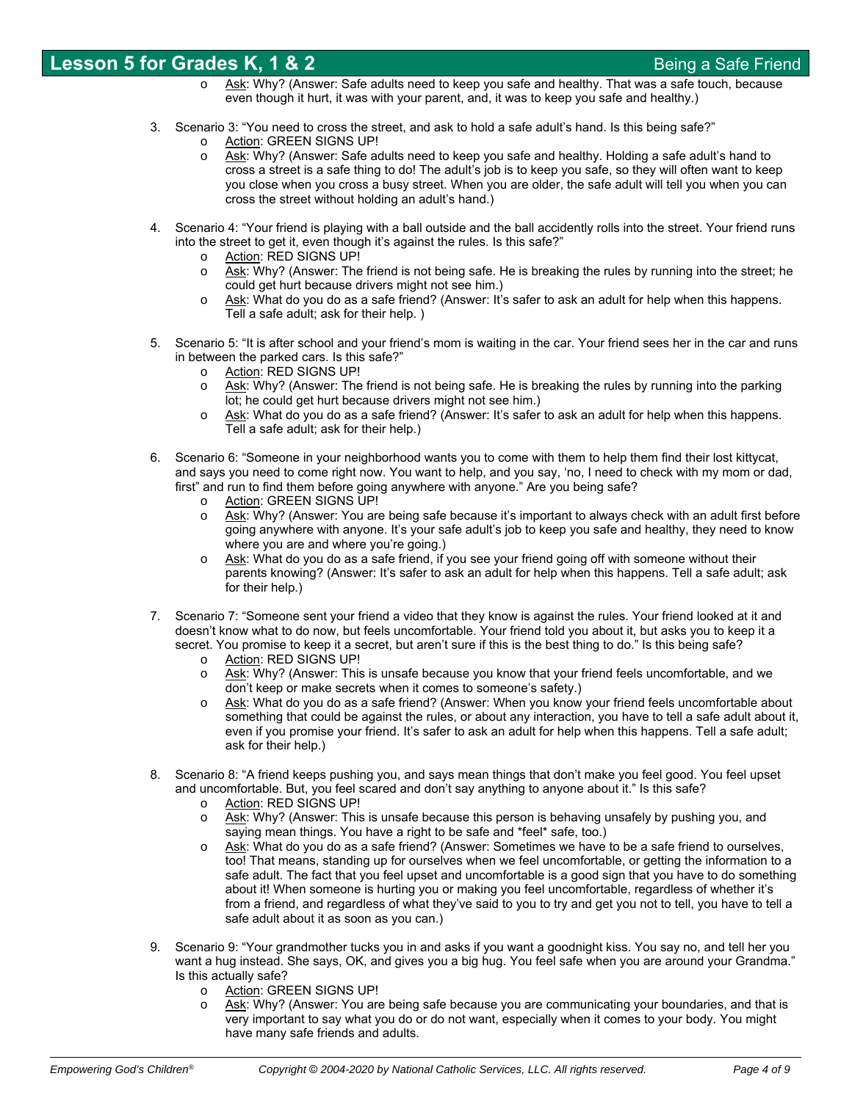- Ask: Why? (Answer: Safe adults need to keep you safe and healthy. That was a safe touch, because even though it hurt, it was with your parent, and, it was to keep you safe and healthy.)
- 3. Scenario 3: "You need to cross the street, and ask to hold a safe adult's hand. Is this being safe?"
	- o Action: GREEN SIGNS UP!
	- o Ask: Why? (Answer: Safe adults need to keep you safe and healthy. Holding a safe adult's hand to cross a street is a safe thing to do! The adult's job is to keep you safe, so they will often want to keep you close when you cross a busy street. When you are older, the safe adult will tell you when you can cross the street without holding an adult's hand.)
- 4. Scenario 4: "Your friend is playing with a ball outside and the ball accidently rolls into the street. Your friend runs into the street to get it, even though it's against the rules. Is this safe?"
	- o Action: RED SIGNS UP!
	- o Ask: Why? (Answer: The friend is not being safe. He is breaking the rules by running into the street; he could get hurt because drivers might not see him.)
	- Ask: What do you do as a safe friend? (Answer: It's safer to ask an adult for help when this happens. Tell a safe adult; ask for their help. )
- 5. Scenario 5: "It is after school and your friend's mom is waiting in the car. Your friend sees her in the car and runs in between the parked cars. Is this safe?"
	- o Action: RED SIGNS UP!
	- o Ask: Why? (Answer: The friend is not being safe. He is breaking the rules by running into the parking lot; he could get hurt because drivers might not see him.)
	- o Ask: What do you do as a safe friend? (Answer: It's safer to ask an adult for help when this happens. Tell a safe adult; ask for their help.)
- 6. Scenario 6: "Someone in your neighborhood wants you to come with them to help them find their lost kittycat, and says you need to come right now. You want to help, and you say, 'no, I need to check with my mom or dad, first" and run to find them before going anywhere with anyone." Are you being safe?
	- o Action: GREEN SIGNS UP!
	- o Ask: Why? (Answer: You are being safe because it's important to always check with an adult first before going anywhere with anyone. It's your safe adult's job to keep you safe and healthy, they need to know where you are and where you're going.)
	- $\circ$  Ask: What do you do as a safe friend, if you see your friend going off with someone without their parents knowing? (Answer: It's safer to ask an adult for help when this happens. Tell a safe adult; ask for their help.)
- 7. Scenario 7: "Someone sent your friend a video that they know is against the rules. Your friend looked at it and doesn't know what to do now, but feels uncomfortable. Your friend told you about it, but asks you to keep it a secret. You promise to keep it a secret, but aren't sure if this is the best thing to do." Is this being safe?
	- o Action: RED SIGNS UP!
	- $\circ$  Ask: Why? (Answer: This is unsafe because you know that your friend feels uncomfortable, and we don't keep or make secrets when it comes to someone's safety.)
	- o Ask: What do you do as a safe friend? (Answer: When you know your friend feels uncomfortable about something that could be against the rules, or about any interaction, you have to tell a safe adult about it, even if you promise your friend. It's safer to ask an adult for help when this happens. Tell a safe adult; ask for their help.)
- 8. Scenario 8: "A friend keeps pushing you, and says mean things that don't make you feel good. You feel upset and uncomfortable. But, you feel scared and don't say anything to anyone about it." Is this safe?
	- o Action: RED SIGNS UP!
	- $\circ$  Ask: Why? (Answer: This is unsafe because this person is behaving unsafely by pushing you, and saying mean things. You have a right to be safe and \*feel\* safe, too.)
	- o Ask: What do you do as a safe friend? (Answer: Sometimes we have to be a safe friend to ourselves, too! That means, standing up for ourselves when we feel uncomfortable, or getting the information to a safe adult. The fact that you feel upset and uncomfortable is a good sign that you have to do something about it! When someone is hurting you or making you feel uncomfortable, regardless of whether it's from a friend, and regardless of what they've said to you to try and get you not to tell, you have to tell a safe adult about it as soon as you can.)
- 9. Scenario 9: "Your grandmother tucks you in and asks if you want a goodnight kiss. You say no, and tell her you want a hug instead. She says, OK, and gives you a big hug. You feel safe when you are around your Grandma." Is this actually safe?
	- o Action: GREEN SIGNS UP!
	- Ask: Why? (Answer: You are being safe because you are communicating your boundaries, and that is very important to say what you do or do not want, especially when it comes to your body. You might have many safe friends and adults.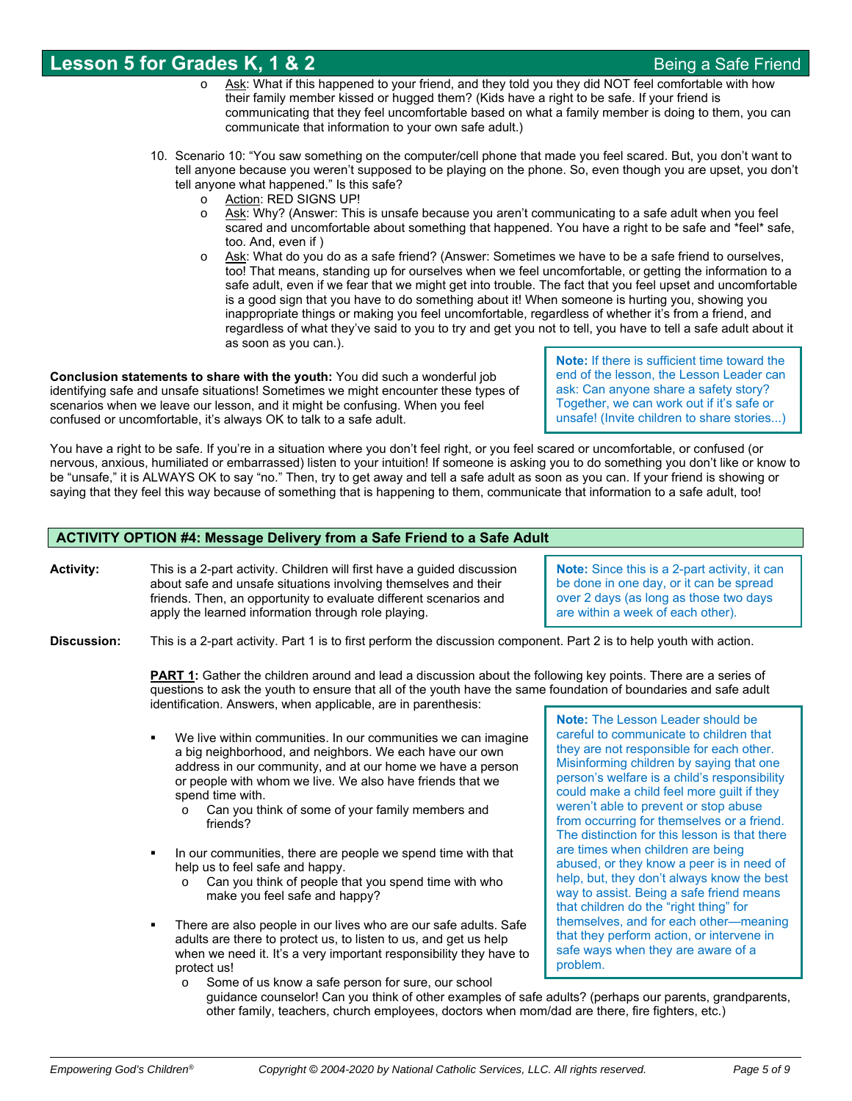- Ask: What if this happened to your friend, and they told you they did NOT feel comfortable with how their family member kissed or hugged them? (Kids have a right to be safe. If your friend is communicating that they feel uncomfortable based on what a family member is doing to them, you can communicate that information to your own safe adult.)
- 10. Scenario 10: "You saw something on the computer/cell phone that made you feel scared. But, you don't want to tell anyone because you weren't supposed to be playing on the phone. So, even though you are upset, you don't tell anyone what happened." Is this safe?
	- o Action: RED SIGNS UP!
	- o Ask: Why? (Answer: This is unsafe because you aren't communicating to a safe adult when you feel scared and uncomfortable about something that happened. You have a right to be safe and \*feel\* safe, too. And, even if )
	- Ask: What do you do as a safe friend? (Answer: Sometimes we have to be a safe friend to ourselves, too! That means, standing up for ourselves when we feel uncomfortable, or getting the information to a safe adult, even if we fear that we might get into trouble. The fact that you feel upset and uncomfortable is a good sign that you have to do something about it! When someone is hurting you, showing you inappropriate things or making you feel uncomfortable, regardless of whether it's from a friend, and regardless of what they've said to you to try and get you not to tell, you have to tell a safe adult about it as soon as you can.).

**Conclusion statements to share with the youth:** You did such a wonderful job identifying safe and unsafe situations! Sometimes we might encounter these types of scenarios when we leave our lesson, and it might be confusing. When you feel confused or uncomfortable, it's always OK to talk to a safe adult.

**Note:** If there is sufficient time toward the end of the lesson, the Lesson Leader can ask: Can anyone share a safety story? Together, we can work out if it's safe or unsafe! (Invite children to share stories...)

You have a right to be safe. If you're in a situation where you don't feel right, or you feel scared or uncomfortable, or confused (or nervous, anxious, humiliated or embarrassed) listen to your intuition! If someone is asking you to do something you don't like or know to be "unsafe," it is ALWAYS OK to say "no." Then, try to get away and tell a safe adult as soon as you can. If your friend is showing or saying that they feel this way because of something that is happening to them, communicate that information to a safe adult, too!

### **ACTIVITY OPTION #4: Message Delivery from a Safe Friend to a Safe Adult**

**Activity:** This is a 2-part activity. Children will first have a guided discussion about safe and unsafe situations involving themselves and their friends. Then, an opportunity to evaluate different scenarios and apply the learned information through role playing.

**Note:** Since this is a 2-part activity, it can be done in one day, or it can be spread over 2 days (as long as those two days are within a week of each other).

**Discussion:** This is a 2-part activity. Part 1 is to first perform the discussion component. Part 2 is to help youth with action.

**PART 1:** Gather the children around and lead a discussion about the following key points. There are a series of questions to ask the youth to ensure that all of the youth have the same foundation of boundaries and safe adult identification. Answers, when applicable, are in parenthesis:

- We live within communities. In our communities we can imagine a big neighborhood, and neighbors. We each have our own address in our community, and at our home we have a person or people with whom we live. We also have friends that we spend time with.
	- o Can you think of some of your family members and friends?
- In our communities, there are people we spend time with that help us to feel safe and happy.
	- o Can you think of people that you spend time with who make you feel safe and happy?
- There are also people in our lives who are our safe adults. Safe adults are there to protect us, to listen to us, and get us help when we need it. It's a very important responsibility they have to protect us!
	- o Some of us know a safe person for sure, our school

**Note:** The Lesson Leader should be careful to communicate to children that they are not responsible for each other. Misinforming children by saying that one person's welfare is a child's responsibility could make a child feel more guilt if they weren't able to prevent or stop abuse from occurring for themselves or a friend. The distinction for this lesson is that there are times when children are being abused, or they know a peer is in need of help, but, they don't always know the best way to assist. Being a safe friend means that children do the "right thing" for themselves, and for each other—meaning that they perform action, or intervene in safe ways when they are aware of a problem.

guidance counselor! Can you think of other examples of safe adults? (perhaps our parents, grandparents, other family, teachers, church employees, doctors when mom/dad are there, fire fighters, etc.)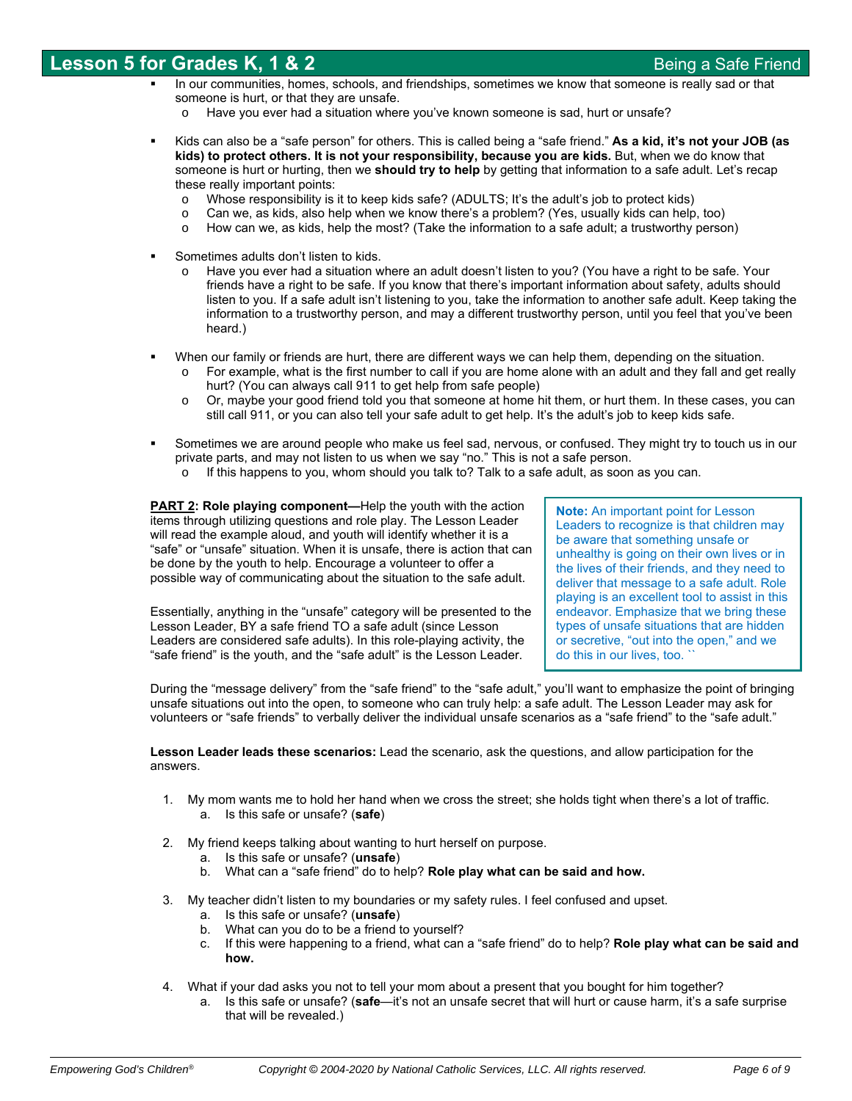- In our communities, homes, schools, and friendships, sometimes we know that someone is really sad or that someone is hurt, or that they are unsafe.
	- Have you ever had a situation where you've known someone is sad, hurt or unsafe?
- Kids can also be a "safe person" for others. This is called being a "safe friend." **As a kid, it's not your JOB (as kids) to protect others. It is not your responsibility, because you are kids.** But, when we do know that someone is hurt or hurting, then we **should try to help** by getting that information to a safe adult. Let's recap these really important points:
	- o Whose responsibility is it to keep kids safe? (ADULTS; It's the adult's job to protect kids)
	- o Can we, as kids, also help when we know there's a problem? (Yes, usually kids can help, too)
	- o How can we, as kids, help the most? (Take the information to a safe adult; a trustworthy person)
- Sometimes adults don't listen to kids.
	- Have you ever had a situation where an adult doesn't listen to you? (You have a right to be safe. Your friends have a right to be safe. If you know that there's important information about safety, adults should listen to you. If a safe adult isn't listening to you, take the information to another safe adult. Keep taking the information to a trustworthy person, and may a different trustworthy person, until you feel that you've been heard.)
- When our family or friends are hurt, there are different ways we can help them, depending on the situation.
	- $\circ$  For example, what is the first number to call if you are home alone with an adult and they fall and get really hurt? (You can always call 911 to get help from safe people)
	- o Or, maybe your good friend told you that someone at home hit them, or hurt them. In these cases, you can still call 911, or you can also tell your safe adult to get help. It's the adult's job to keep kids safe.
- Sometimes we are around people who make us feel sad, nervous, or confused. They might try to touch us in our private parts, and may not listen to us when we say "no." This is not a safe person.
	- o If this happens to you, whom should you talk to? Talk to a safe adult, as soon as you can.

**PART 2: Role playing component—Help the youth with the action** items through utilizing questions and role play. The Lesson Leader will read the example aloud, and youth will identify whether it is a "safe" or "unsafe" situation. When it is unsafe, there is action that can be done by the youth to help. Encourage a volunteer to offer a possible way of communicating about the situation to the safe adult.

Essentially, anything in the "unsafe" category will be presented to the Lesson Leader, BY a safe friend TO a safe adult (since Lesson Leaders are considered safe adults). In this role-playing activity, the "safe friend" is the youth, and the "safe adult" is the Lesson Leader.

**Note:** An important point for Lesson Leaders to recognize is that children may be aware that something unsafe or unhealthy is going on their own lives or in the lives of their friends, and they need to deliver that message to a safe adult. Role playing is an excellent tool to assist in this endeavor. Emphasize that we bring these types of unsafe situations that are hidden or secretive, "out into the open," and we do this in our lives, too. ``

During the "message delivery" from the "safe friend" to the "safe adult," you'll want to emphasize the point of bringing unsafe situations out into the open, to someone who can truly help: a safe adult. The Lesson Leader may ask for volunteers or "safe friends" to verbally deliver the individual unsafe scenarios as a "safe friend" to the "safe adult."

**Lesson Leader leads these scenarios:** Lead the scenario, ask the questions, and allow participation for the answers.

- 1. My mom wants me to hold her hand when we cross the street; she holds tight when there's a lot of traffic. a. Is this safe or unsafe? (**safe**)
- 2. My friend keeps talking about wanting to hurt herself on purpose.
	- a. Is this safe or unsafe? (**unsafe**)
	- b. What can a "safe friend" do to help? **Role play what can be said and how.**
- 3. My teacher didn't listen to my boundaries or my safety rules. I feel confused and upset.
	- a. Is this safe or unsafe? (**unsafe**)
	- b. What can you do to be a friend to yourself?
	- c. If this were happening to a friend, what can a "safe friend" do to help? **Role play what can be said and how.**
- 4. What if your dad asks you not to tell your mom about a present that you bought for him together?
	- a. Is this safe or unsafe? (**safe**—it's not an unsafe secret that will hurt or cause harm, it's a safe surprise that will be revealed.)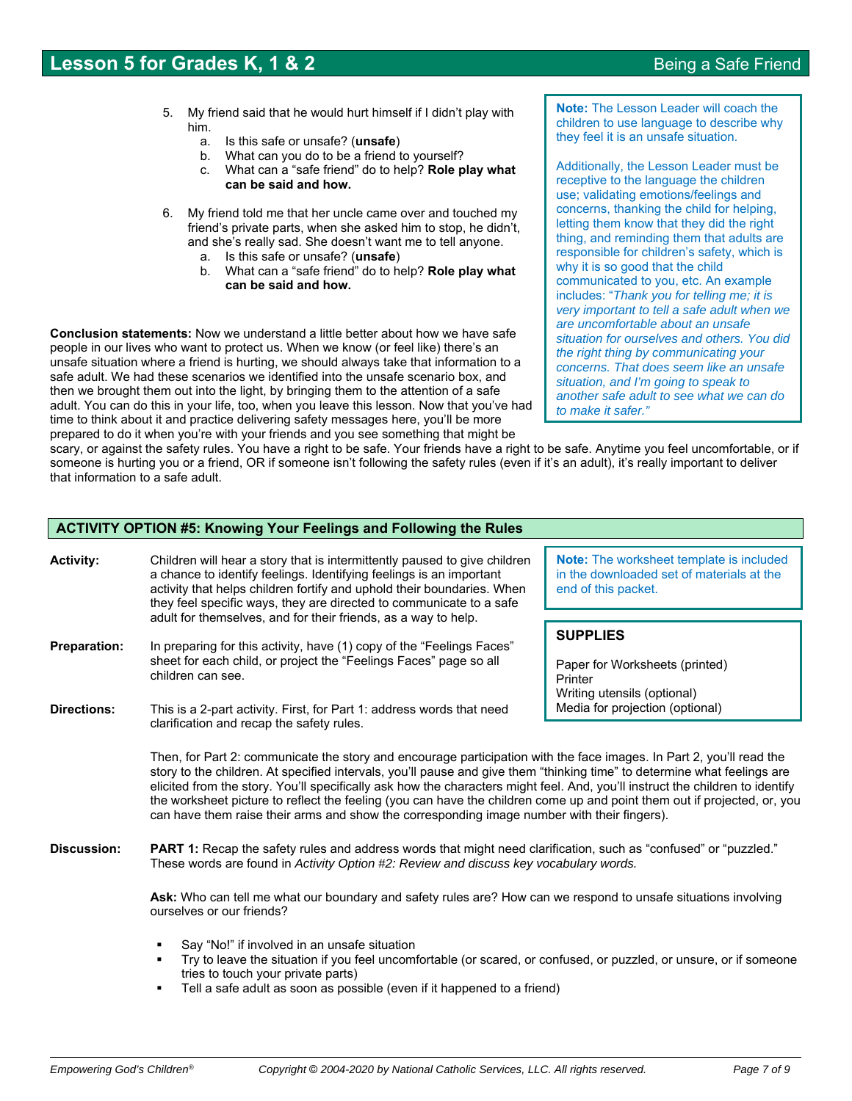- 5. My friend said that he would hurt himself if I didn't play with him.
	- a. Is this safe or unsafe? (**unsafe**)
	- b. What can you do to be a friend to yourself?
	- c. What can a "safe friend" do to help? **Role play what can be said and how.**
- 6. My friend told me that her uncle came over and touched my friend's private parts, when she asked him to stop, he didn't, and she's really sad. She doesn't want me to tell anyone.
	- a. Is this safe or unsafe? (**unsafe**)
	- b. What can a "safe friend" do to help? **Role play what can be said and how.**

**Conclusion statements:** Now we understand a little better about how we have safe people in our lives who want to protect us. When we know (or feel like) there's an unsafe situation where a friend is hurting, we should always take that information to a safe adult. We had these scenarios we identified into the unsafe scenario box, and then we brought them out into the light, by bringing them to the attention of a safe adult. You can do this in your life, too, when you leave this lesson. Now that you've had time to think about it and practice delivering safety messages here, you'll be more prepared to do it when you're with your friends and you see something that might be

**Note:** The Lesson Leader will coach the children to use language to describe why they feel it is an unsafe situation.

Additionally, the Lesson Leader must be receptive to the language the children use; validating emotions/feelings and concerns, thanking the child for helping, letting them know that they did the right thing, and reminding them that adults are responsible for children's safety, which is why it is so good that the child communicated to you, etc. An example includes: "*Thank you for telling me; it is very important to tell a safe adult when we are uncomfortable about an unsafe situation for ourselves and others. You did the right thing by communicating your concerns. That does seem like an unsafe situation, and I'm going to speak to another safe adult to see what we can do to make it safer."*

scary, or against the safety rules. You have a right to be safe. Your friends have a right to be safe. Anytime you feel uncomfortable, or if someone is hurting you or a friend, OR if someone isn't following the safety rules (even if it's an adult), it's really important to deliver that information to a safe adult.

## **ACTIVITY OPTION #5: Knowing Your Feelings and Following the Rules**

| <b>Activity:</b>                          | Children will hear a story that is intermittently paused to give children<br>a chance to identify feelings. Identifying feelings is an important<br>activity that helps children fortify and uphold their boundaries. When<br>they feel specific ways, they are directed to communicate to a safe                                                                                                                                                                                                                                                                                                                                                         | Note: The worksheet template is included<br>in the downloaded set of materials at the<br>end of this packet.                   |
|-------------------------------------------|-----------------------------------------------------------------------------------------------------------------------------------------------------------------------------------------------------------------------------------------------------------------------------------------------------------------------------------------------------------------------------------------------------------------------------------------------------------------------------------------------------------------------------------------------------------------------------------------------------------------------------------------------------------|--------------------------------------------------------------------------------------------------------------------------------|
| <b>Preparation:</b><br><b>Directions:</b> | adult for themselves, and for their friends, as a way to help.<br>In preparing for this activity, have (1) copy of the "Feelings Faces"<br>sheet for each child, or project the "Feelings Faces" page so all<br>children can see.<br>This is a 2-part activity. First, for Part 1: address words that need                                                                                                                                                                                                                                                                                                                                                | <b>SUPPLIES</b><br>Paper for Worksheets (printed)<br>Printer<br>Writing utensils (optional)<br>Media for projection (optional) |
|                                           | clarification and recap the safety rules.<br>Then, for Part 2: communicate the story and encourage participation with the face images. In Part 2, you'll read the<br>story to the children. At specified intervals, you'll pause and give them "thinking time" to determine what feelings are<br>elicited from the story. You'll specifically ask how the characters might feel. And, you'll instruct the children to identify<br>the worksheet picture to reflect the feeling (you can have the children come up and point them out if projected, or, you<br>can have them raise their arms and show the corresponding image number with their fingers). |                                                                                                                                |
| Discussion:                               | PART 1: Recap the safety rules and address words that might need clarification, such as "confused" or "puzzled."<br>These words are found in Activity Option #2: Review and discuss key vocabulary words.<br>Ask: Who can tell me what our boundary and safety rules are? How can we respond to unsafe situations involving<br>ourselves or our friends?<br>Say "No!" if involved in an unsafe situation                                                                                                                                                                                                                                                  |                                                                                                                                |
|                                           | Try to leave the situation if you feel uncomfortable (or scared, or confused, or puzzled, or unsure, or if someone<br>tries to touch your private parts)<br>Tell a safe adult as soon as possible (even if it happened to a friend)                                                                                                                                                                                                                                                                                                                                                                                                                       |                                                                                                                                |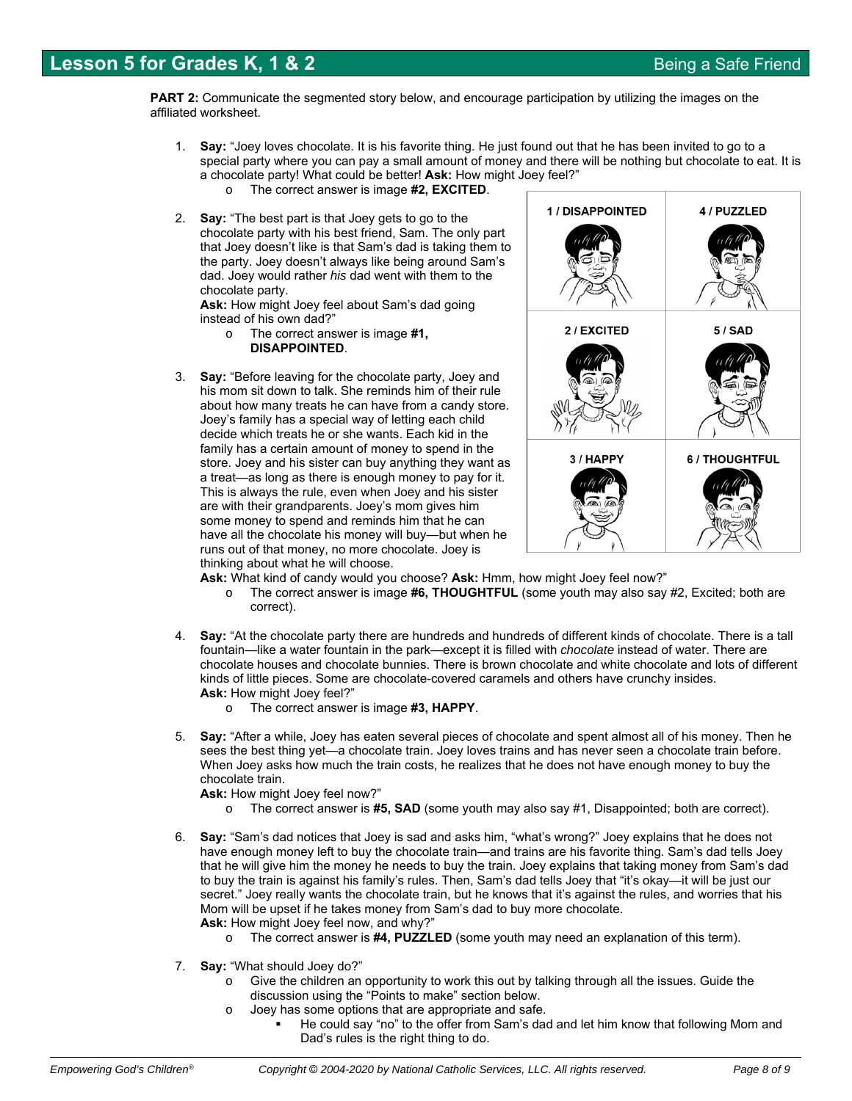**PART 2:** Communicate the segmented story below, and encourage participation by utilizing the images on the affiliated worksheet.

- 1. **Say:** "Joey loves chocolate. It is his favorite thing. He just found out that he has been invited to go to a special party where you can pay a small amount of money and there will be nothing but chocolate to eat. It is a chocolate party! What could be better! **Ask:** How might Joey feel?"
	- o The correct answer is image **#2, EXCITED**.
- 2. **Say:** "The best part is that Joey gets to go to the chocolate party with his best friend, Sam. The only part that Joey doesn't like is that Sam's dad is taking them to the party. Joey doesn't always like being around Sam's dad. Joey would rather *his* dad went with them to the chocolate party.

**Ask:** How might Joey feel about Sam's dad going instead of his own dad?"

- o The correct answer is image **#1, DISAPPOINTED**.
- 3. **Say:** "Before leaving for the chocolate party, Joey and his mom sit down to talk. She reminds him of their rule about how many treats he can have from a candy store. Joey's family has a special way of letting each child decide which treats he or she wants. Each kid in the family has a certain amount of money to spend in the store. Joey and his sister can buy anything they want as a treat—as long as there is enough money to pay for it. This is always the rule, even when Joey and his sister are with their grandparents. Joey's mom gives him some money to spend and reminds him that he can have all the chocolate his money will buy—but when he runs out of that money, no more chocolate. Joey is thinking about what he will choose.



- **Ask:** What kind of candy would you choose? **Ask:** Hmm, how might Joey feel now?"
	- o The correct answer is image **#6, THOUGHTFUL** (some youth may also say #2, Excited; both are correct).
- 4. **Say:** "At the chocolate party there are hundreds and hundreds of different kinds of chocolate. There is a tall fountain—like a water fountain in the park—except it is filled with *chocolate* instead of water. There are chocolate houses and chocolate bunnies. There is brown chocolate and white chocolate and lots of different kinds of little pieces. Some are chocolate-covered caramels and others have crunchy insides. **Ask:** How might Joey feel?"
	- o The correct answer is image **#3, HAPPY**.
- 5. **Say:** "After a while, Joey has eaten several pieces of chocolate and spent almost all of his money. Then he sees the best thing yet—a chocolate train. Joey loves trains and has never seen a chocolate train before. When Joey asks how much the train costs, he realizes that he does not have enough money to buy the chocolate train.

**Ask:** How might Joey feel now?"

- o The correct answer is **#5, SAD** (some youth may also say #1, Disappointed; both are correct).
- 6. **Say:** "Sam's dad notices that Joey is sad and asks him, "what's wrong?" Joey explains that he does not have enough money left to buy the chocolate train—and trains are his favorite thing. Sam's dad tells Joey that he will give him the money he needs to buy the train. Joey explains that taking money from Sam's dad to buy the train is against his family's rules. Then, Sam's dad tells Joey that "it's okay—it will be just our secret." Joey really wants the chocolate train, but he knows that it's against the rules, and worries that his Mom will be upset if he takes money from Sam's dad to buy more chocolate. **Ask:** How might Joey feel now, and why?"
	- o The correct answer is **#4, PUZZLED** (some youth may need an explanation of this term).
- 7. **Say:** "What should Joey do?"
	- $\circ$  Give the children an opportunity to work this out by talking through all the issues. Guide the discussion using the "Points to make" section below.
	- o Joey has some options that are appropriate and safe.
		- He could say "no" to the offer from Sam's dad and let him know that following Mom and Dad's rules is the right thing to do.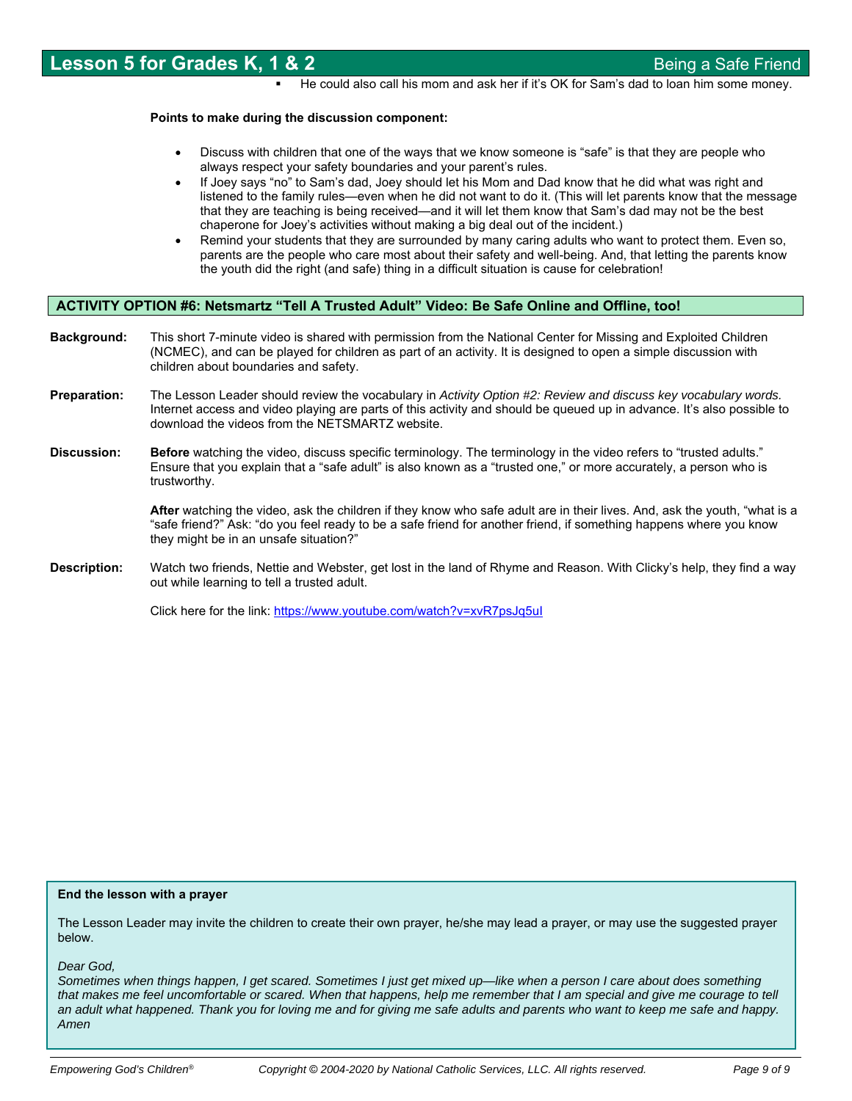He could also call his mom and ask her if it's OK for Sam's dad to loan him some money.

### **Points to make during the discussion component:**

- Discuss with children that one of the ways that we know someone is "safe" is that they are people who always respect your safety boundaries and your parent's rules.
- If Joey says "no" to Sam's dad, Joey should let his Mom and Dad know that he did what was right and listened to the family rules—even when he did not want to do it. (This will let parents know that the message that they are teaching is being received—and it will let them know that Sam's dad may not be the best chaperone for Joey's activities without making a big deal out of the incident.)
- Remind your students that they are surrounded by many caring adults who want to protect them. Even so, parents are the people who care most about their safety and well-being. And, that letting the parents know the youth did the right (and safe) thing in a difficult situation is cause for celebration!

### **ACTIVITY OPTION #6: Netsmartz "Tell A Trusted Adult" Video: Be Safe Online and Offline, too!**

- **Background:** This short 7-minute video is shared with permission from the National Center for Missing and Exploited Children (NCMEC), and can be played for children as part of an activity. It is designed to open a simple discussion with children about boundaries and safety.
- **Preparation:** The Lesson Leader should review the vocabulary in *Activity Option #2: Review and discuss key vocabulary words.* Internet access and video playing are parts of this activity and should be queued up in advance. It's also possible to download the videos from the NETSMARTZ website.
- **Discussion:** Before watching the video, discuss specific terminology. The terminology in the video refers to "trusted adults." Ensure that you explain that a "safe adult" is also known as a "trusted one," or more accurately, a person who is trustworthy.

**After** watching the video, ask the children if they know who safe adult are in their lives. And, ask the youth, "what is a "safe friend?" Ask: "do you feel ready to be a safe friend for another friend, if something happens where you know they might be in an unsafe situation?"

**Description:** Watch two friends, Nettie and Webster, get lost in the land of Rhyme and Reason. With Clicky's help, they find a way out while learning to tell a trusted adult.

Click here for the link: https://www.youtube.com/watch?v=xvR7psJq5ul

### **End the lesson with a prayer**

The Lesson Leader may invite the children to create their own prayer, he/she may lead a prayer, or may use the suggested prayer below.

*Dear God,* 

*Sometimes when things happen, I get scared. Sometimes I just get mixed up—like when a person I care about does something that makes me feel uncomfortable or scared. When that happens, help me remember that I am special and give me courage to tell an adult what happened. Thank you for loving me and for giving me safe adults and parents who want to keep me safe and happy. Amen*